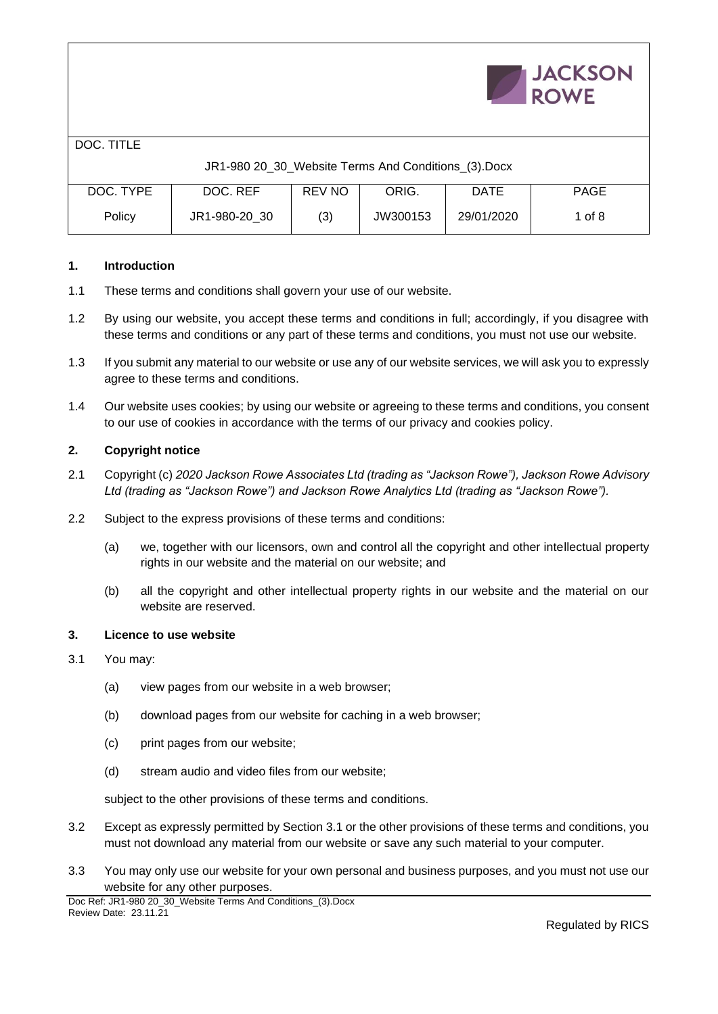|            |                                                     |               |          |             | <b>JACKSON</b><br><b>ROWE</b> |
|------------|-----------------------------------------------------|---------------|----------|-------------|-------------------------------|
| DOC. TITLE |                                                     |               |          |             |                               |
|            | JR1-980 20_30_Website Terms And Conditions_(3).Docx |               |          |             |                               |
| DOC. TYPE  | DOC. REF                                            | <b>REV NO</b> | ORIG.    | <b>DATE</b> | <b>PAGE</b>                   |
| Policy     | JR1-980-20 30                                       | (3)           | JW300153 | 29/01/2020  | 1 of $8$                      |

# **1. Introduction**

- 1.1 These terms and conditions shall govern your use of our website.
- 1.2 By using our website, you accept these terms and conditions in full; accordingly, if you disagree with these terms and conditions or any part of these terms and conditions, you must not use our website.
- 1.3 If you submit any material to our website or use any of our website services, we will ask you to expressly agree to these terms and conditions.
- 1.4 Our website uses cookies; by using our website or agreeing to these terms and conditions, you consent to our use of cookies in accordance with the terms of our privacy and cookies policy.

### **2. Copyright notice**

- 2.1 Copyright (c) *2020 Jackson Rowe Associates Ltd (trading as "Jackson Rowe"), Jackson Rowe Advisory Ltd (trading as "Jackson Rowe") and Jackson Rowe Analytics Ltd (trading as "Jackson Rowe").*
- 2.2 Subject to the express provisions of these terms and conditions:
	- (a) we, together with our licensors, own and control all the copyright and other intellectual property rights in our website and the material on our website; and
	- (b) all the copyright and other intellectual property rights in our website and the material on our website are reserved.

### **3. Licence to use website**

- 3.1 You may:
	- (a) view pages from our website in a web browser;
	- (b) download pages from our website for caching in a web browser;
	- (c) print pages from our website;
	- (d) stream audio and video files from our website;

subject to the other provisions of these terms and conditions.

- 3.2 Except as expressly permitted by Section 3.1 or the other provisions of these terms and conditions, you must not download any material from our website or save any such material to your computer.
- 3.3 You may only use our website for your own personal and business purposes, and you must not use our website for any other purposes.

**LIACVCONE**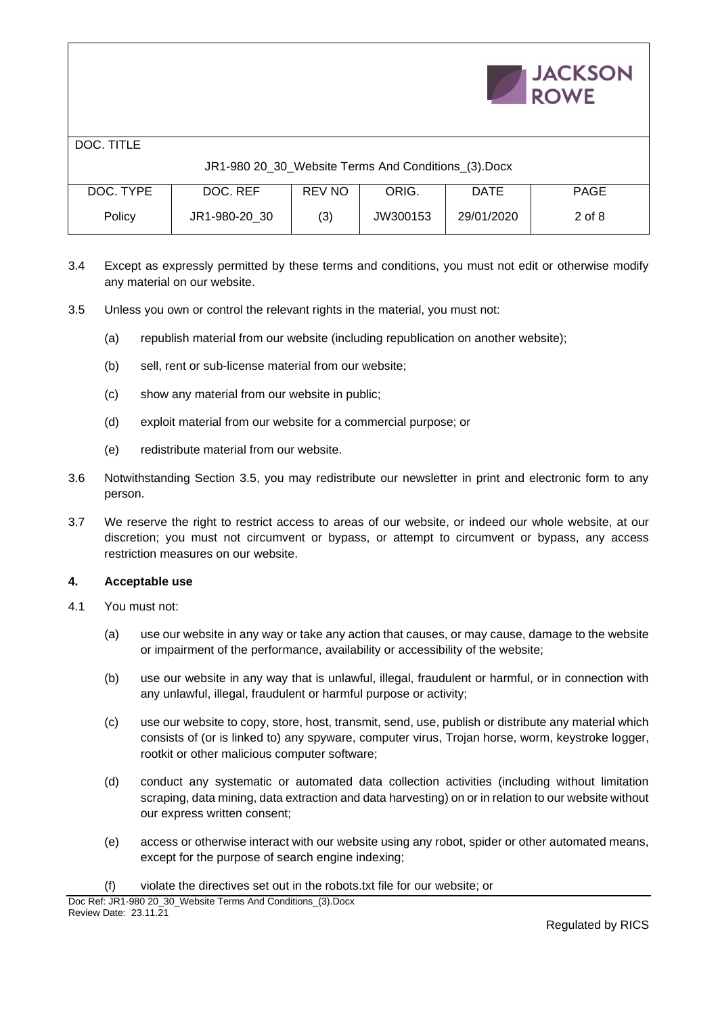|            |                                                     |               |          |             | <b>JACKSON</b><br><b>ROWE</b> |
|------------|-----------------------------------------------------|---------------|----------|-------------|-------------------------------|
| DOC. TITLE |                                                     |               |          |             |                               |
|            | JR1-980 20_30_Website Terms And Conditions_(3).Docx |               |          |             |                               |
| DOC. TYPE  | DOC. REF                                            | <b>REV NO</b> | ORIG.    | <b>DATE</b> | <b>PAGE</b>                   |
| Policy     | JR1-980-20 30                                       | (3)           | JW300153 | 29/01/2020  | $2$ of $8$                    |

3.4 Except as expressly permitted by these terms and conditions, you must not edit or otherwise modify any material on our website.

- 3.5 Unless you own or control the relevant rights in the material, you must not:
	- (a) republish material from our website (including republication on another website);
	- (b) sell, rent or sub-license material from our website;
	- (c) show any material from our website in public;
	- (d) exploit material from our website for a commercial purpose; or
	- (e) redistribute material from our website.
- 3.6 Notwithstanding Section 3.5, you may redistribute our newsletter in print and electronic form to any person.
- 3.7 We reserve the right to restrict access to areas of our website, or indeed our whole website, at our discretion; you must not circumvent or bypass, or attempt to circumvent or bypass, any access restriction measures on our website.

### **4. Acceptable use**

- 4.1 You must not:
	- (a) use our website in any way or take any action that causes, or may cause, damage to the website or impairment of the performance, availability or accessibility of the website;
	- (b) use our website in any way that is unlawful, illegal, fraudulent or harmful, or in connection with any unlawful, illegal, fraudulent or harmful purpose or activity;
	- (c) use our website to copy, store, host, transmit, send, use, publish or distribute any material which consists of (or is linked to) any spyware, computer virus, Trojan horse, worm, keystroke logger, rootkit or other malicious computer software;
	- (d) conduct any systematic or automated data collection activities (including without limitation scraping, data mining, data extraction and data harvesting) on or in relation to our website without our express written consent;
	- (e) access or otherwise interact with our website using any robot, spider or other automated means, except for the purpose of search engine indexing;
	- (f) violate the directives set out in the robots.txt file for our website; or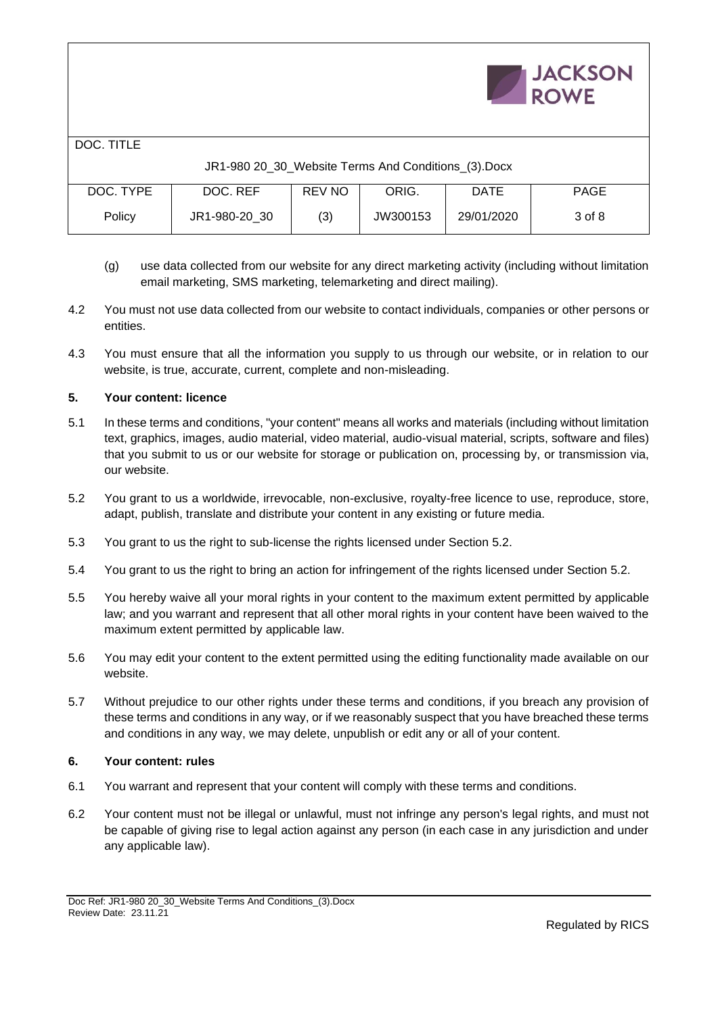|            |                                                     |               |          |             | <b>JACKSON</b><br><b>ROWE</b> |
|------------|-----------------------------------------------------|---------------|----------|-------------|-------------------------------|
| DOC. TITLE |                                                     |               |          |             |                               |
|            | JR1-980 20_30_Website Terms And Conditions_(3).Docx |               |          |             |                               |
| DOC. TYPE  | DOC. REF                                            | <b>REV NO</b> | ORIG.    | <b>DATE</b> | <b>PAGE</b>                   |
| Policy     | JR1-980-20 30                                       | (3)           | JW300153 | 29/01/2020  | 3 of 8                        |

- (g) use data collected from our website for any direct marketing activity (including without limitation email marketing, SMS marketing, telemarketing and direct mailing).
- 4.2 You must not use data collected from our website to contact individuals, companies or other persons or entities.
- 4.3 You must ensure that all the information you supply to us through our website, or in relation to our website, is true, accurate, current, complete and non-misleading.

# **5. Your content: licence**

- 5.1 In these terms and conditions, "your content" means all works and materials (including without limitation text, graphics, images, audio material, video material, audio-visual material, scripts, software and files) that you submit to us or our website for storage or publication on, processing by, or transmission via, our website.
- 5.2 You grant to us a worldwide, irrevocable, non-exclusive, royalty-free licence to use, reproduce, store, adapt, publish, translate and distribute your content in any existing or future media.
- 5.3 You grant to us the right to sub-license the rights licensed under Section 5.2.
- 5.4 You grant to us the right to bring an action for infringement of the rights licensed under Section 5.2.
- 5.5 You hereby waive all your moral rights in your content to the maximum extent permitted by applicable law; and you warrant and represent that all other moral rights in your content have been waived to the maximum extent permitted by applicable law.
- 5.6 You may edit your content to the extent permitted using the editing functionality made available on our website.
- 5.7 Without prejudice to our other rights under these terms and conditions, if you breach any provision of these terms and conditions in any way, or if we reasonably suspect that you have breached these terms and conditions in any way, we may delete, unpublish or edit any or all of your content.

### **6. Your content: rules**

- 6.1 You warrant and represent that your content will comply with these terms and conditions.
- 6.2 Your content must not be illegal or unlawful, must not infringe any person's legal rights, and must not be capable of giving rise to legal action against any person (in each case in any jurisdiction and under any applicable law).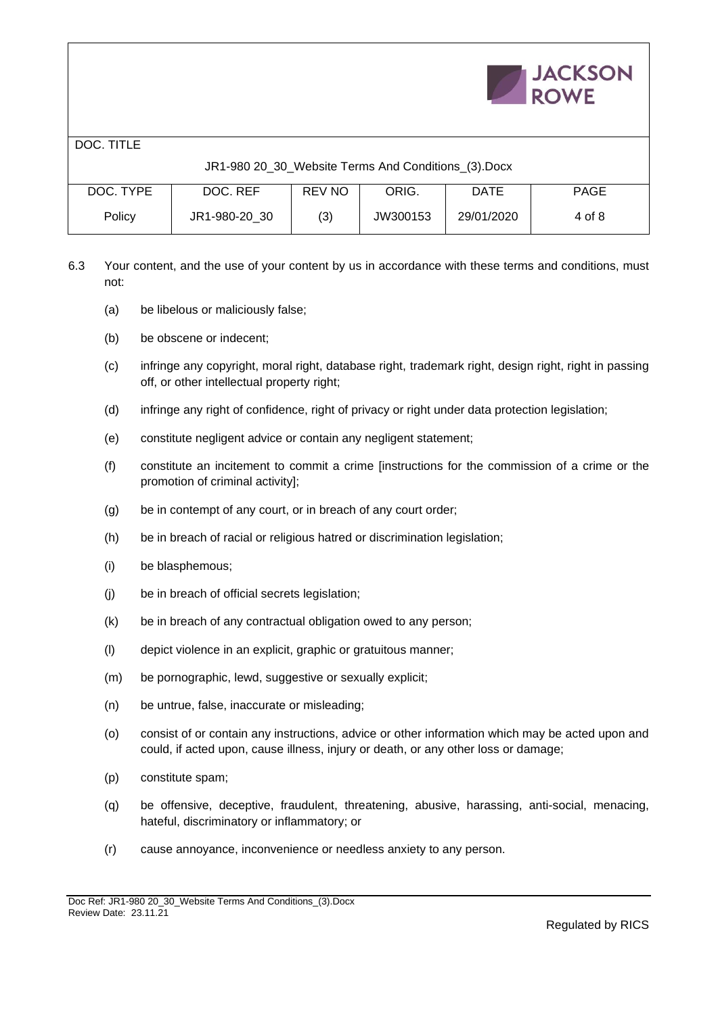|            |                                                     |               |          |             | <b>JACKSON</b><br><b>ROWE</b> |
|------------|-----------------------------------------------------|---------------|----------|-------------|-------------------------------|
| DOC. TITLE |                                                     |               |          |             |                               |
|            | JR1-980 20_30_Website Terms And Conditions_(3).Docx |               |          |             |                               |
| DOC. TYPE  | DOC. REF                                            | <b>REV NO</b> | ORIG.    | <b>DATE</b> | <b>PAGE</b>                   |
| Policy     | JR1-980-20 30                                       | (3)           | JW300153 | 29/01/2020  | 4 of 8                        |

6.3 Your content, and the use of your content by us in accordance with these terms and conditions, must not:

- (a) be libelous or maliciously false;
- (b) be obscene or indecent;
- (c) infringe any copyright, moral right, database right, trademark right, design right, right in passing off, or other intellectual property right;
- (d) infringe any right of confidence, right of privacy or right under data protection legislation;
- (e) constitute negligent advice or contain any negligent statement;
- (f) constitute an incitement to commit a crime [instructions for the commission of a crime or the promotion of criminal activity];
- (g) be in contempt of any court, or in breach of any court order;
- (h) be in breach of racial or religious hatred or discrimination legislation;
- (i) be blasphemous;
- (j) be in breach of official secrets legislation;
- (k) be in breach of any contractual obligation owed to any person;
- (l) depict violence in an explicit, graphic or gratuitous manner;
- (m) be pornographic, lewd, suggestive or sexually explicit;
- (n) be untrue, false, inaccurate or misleading;
- (o) consist of or contain any instructions, advice or other information which may be acted upon and could, if acted upon, cause illness, injury or death, or any other loss or damage;
- (p) constitute spam;
- (q) be offensive, deceptive, fraudulent, threatening, abusive, harassing, anti-social, menacing, hateful, discriminatory or inflammatory; or
- (r) cause annoyance, inconvenience or needless anxiety to any person.

 $\mathbf{r} = \mathbf{r} + \mathbf{r} + \mathbf{r} + \mathbf{r}$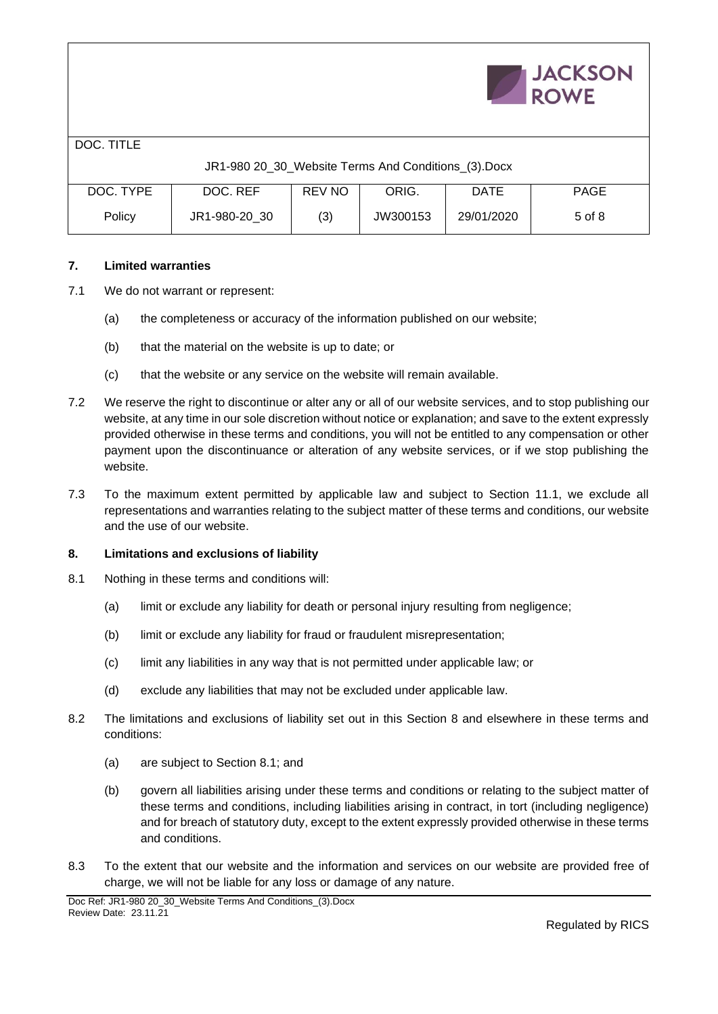|            |                                                     |        |          |             | <b>JACKSON</b><br><b>ROWE</b> |
|------------|-----------------------------------------------------|--------|----------|-------------|-------------------------------|
| DOC. TITLE |                                                     |        |          |             |                               |
|            | JR1-980 20_30_Website Terms And Conditions_(3).Docx |        |          |             |                               |
| DOC. TYPE  | DOC. REF                                            | REV NO | ORIG.    | <b>DATE</b> | <b>PAGE</b>                   |
| Policy     | JR1-980-20 30                                       | (3)    | JW300153 | 29/01/2020  | $5$ of $8$                    |

# **7. Limited warranties**

- 7.1 We do not warrant or represent:
	- (a) the completeness or accuracy of the information published on our website;
	- (b) that the material on the website is up to date; or
	- (c) that the website or any service on the website will remain available.
- 7.2 We reserve the right to discontinue or alter any or all of our website services, and to stop publishing our website, at any time in our sole discretion without notice or explanation; and save to the extent expressly provided otherwise in these terms and conditions, you will not be entitled to any compensation or other payment upon the discontinuance or alteration of any website services, or if we stop publishing the website.
- 7.3 To the maximum extent permitted by applicable law and subject to Section 11.1, we exclude all representations and warranties relating to the subject matter of these terms and conditions, our website and the use of our website.

### **8. Limitations and exclusions of liability**

- 8.1 Nothing in these terms and conditions will:
	- (a) limit or exclude any liability for death or personal injury resulting from negligence;
	- (b) limit or exclude any liability for fraud or fraudulent misrepresentation;
	- (c) limit any liabilities in any way that is not permitted under applicable law; or
	- (d) exclude any liabilities that may not be excluded under applicable law.
- 8.2 The limitations and exclusions of liability set out in this Section 8 and elsewhere in these terms and conditions:
	- (a) are subject to Section 8.1; and
	- (b) govern all liabilities arising under these terms and conditions or relating to the subject matter of these terms and conditions, including liabilities arising in contract, in tort (including negligence) and for breach of statutory duty, except to the extent expressly provided otherwise in these terms and conditions.
- 8.3 To the extent that our website and the information and services on our website are provided free of charge, we will not be liable for any loss or damage of any nature.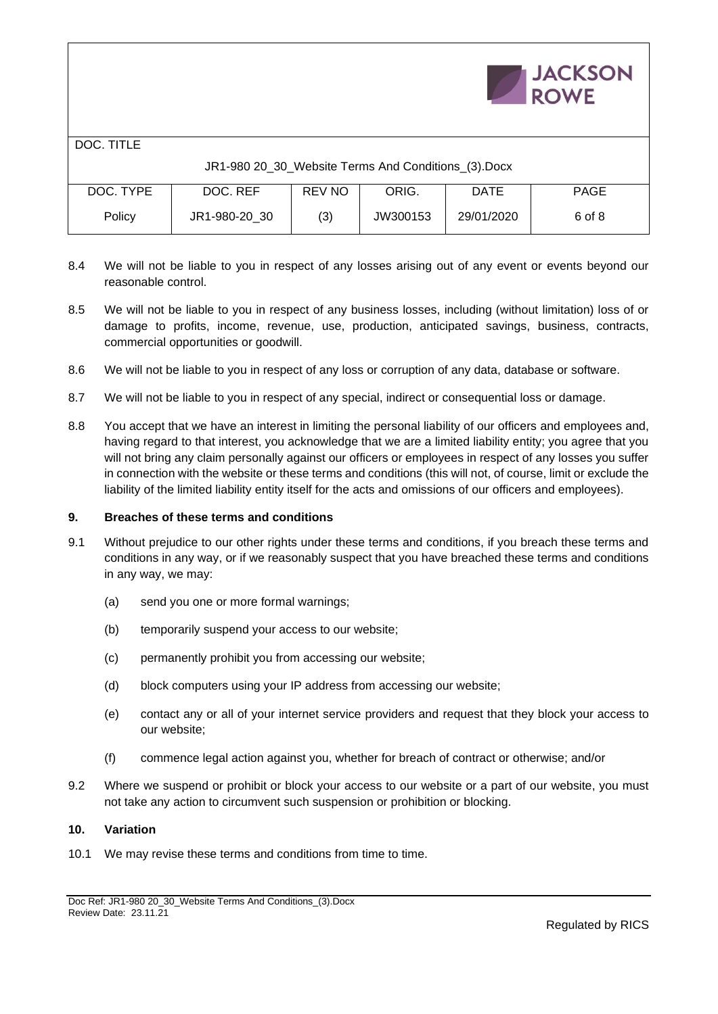|            |                                                     |               |          |             | <b>JACKSON</b><br><b>ROWE</b> |
|------------|-----------------------------------------------------|---------------|----------|-------------|-------------------------------|
| DOC. TITLE |                                                     |               |          |             |                               |
|            | JR1-980 20_30_Website Terms And Conditions_(3).Docx |               |          |             |                               |
| DOC. TYPE  | DOC. REF                                            | <b>REV NO</b> | ORIG.    | <b>DATE</b> | <b>PAGE</b>                   |
| Policy     | JR1-980-20 30                                       | (3)           | JW300153 | 29/01/2020  | 6 of 8                        |

- 8.4 We will not be liable to you in respect of any losses arising out of any event or events beyond our reasonable control.
- 8.5 We will not be liable to you in respect of any business losses, including (without limitation) loss of or damage to profits, income, revenue, use, production, anticipated savings, business, contracts, commercial opportunities or goodwill.
- 8.6 We will not be liable to you in respect of any loss or corruption of any data, database or software.
- 8.7 We will not be liable to you in respect of any special, indirect or consequential loss or damage.
- 8.8 You accept that we have an interest in limiting the personal liability of our officers and employees and, having regard to that interest, you acknowledge that we are a limited liability entity; you agree that you will not bring any claim personally against our officers or employees in respect of any losses you suffer in connection with the website or these terms and conditions (this will not, of course, limit or exclude the liability of the limited liability entity itself for the acts and omissions of our officers and employees).

#### **9. Breaches of these terms and conditions**

- 9.1 Without prejudice to our other rights under these terms and conditions, if you breach these terms and conditions in any way, or if we reasonably suspect that you have breached these terms and conditions in any way, we may:
	- (a) send you one or more formal warnings;
	- (b) temporarily suspend your access to our website;
	- (c) permanently prohibit you from accessing our website;
	- (d) block computers using your IP address from accessing our website;
	- (e) contact any or all of your internet service providers and request that they block your access to our website;
	- (f) commence legal action against you, whether for breach of contract or otherwise; and/or
- 9.2 Where we suspend or prohibit or block your access to our website or a part of our website, you must not take any action to circumvent such suspension or prohibition or blocking.

#### **10. Variation**

10.1 We may revise these terms and conditions from time to time.

 $\mathbf{L}$   $\mathbf{L}$   $\mathbf{L}$   $\mathbf{L}$   $\mathbf{L}$   $\mathbf{L}$   $\mathbf{L}$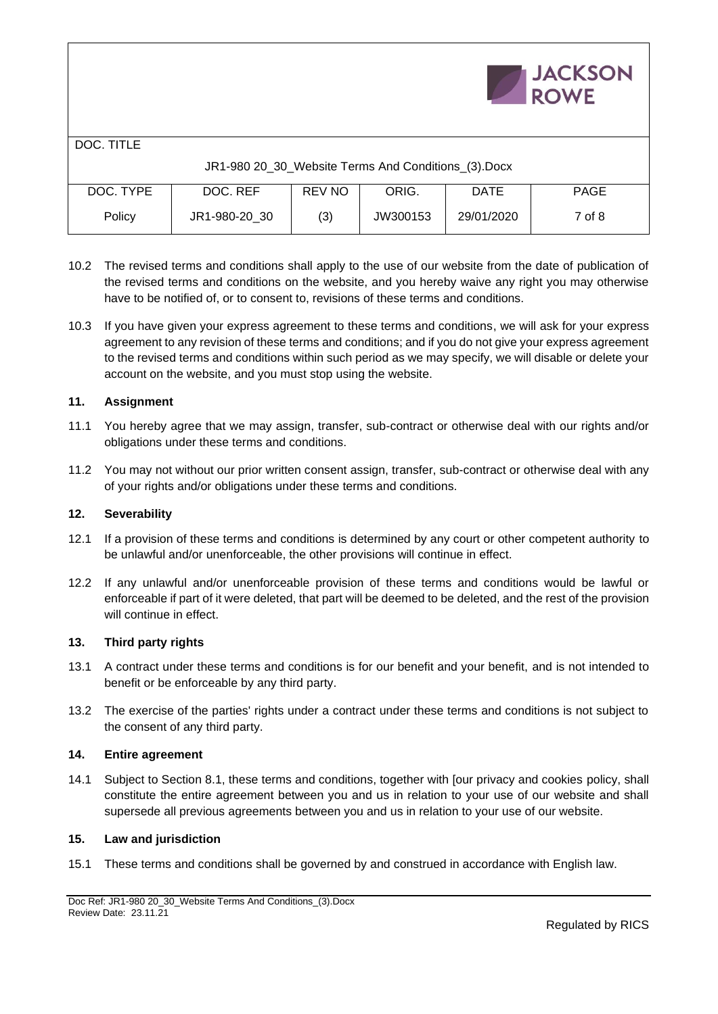|                                                     |               |               |          |             | <b>JACKSON</b><br><b>ROWE</b> |  |  |
|-----------------------------------------------------|---------------|---------------|----------|-------------|-------------------------------|--|--|
| DOC. TITLE                                          |               |               |          |             |                               |  |  |
| JR1-980 20_30_Website Terms And Conditions_(3).Docx |               |               |          |             |                               |  |  |
| DOC. TYPE                                           | DOC. REF      | <b>REV NO</b> | ORIG.    | <b>DATE</b> | <b>PAGE</b>                   |  |  |
| Policy                                              | JR1-980-20 30 | (3)           | JW300153 | 29/01/2020  | 7 of 8                        |  |  |

- 10.2 The revised terms and conditions shall apply to the use of our website from the date of publication of the revised terms and conditions on the website, and you hereby waive any right you may otherwise have to be notified of, or to consent to, revisions of these terms and conditions.
- 10.3 If you have given your express agreement to these terms and conditions, we will ask for your express agreement to any revision of these terms and conditions; and if you do not give your express agreement to the revised terms and conditions within such period as we may specify, we will disable or delete your account on the website, and you must stop using the website.

### **11. Assignment**

- 11.1 You hereby agree that we may assign, transfer, sub-contract or otherwise deal with our rights and/or obligations under these terms and conditions.
- 11.2 You may not without our prior written consent assign, transfer, sub-contract or otherwise deal with any of your rights and/or obligations under these terms and conditions.

### **12. Severability**

- 12.1 If a provision of these terms and conditions is determined by any court or other competent authority to be unlawful and/or unenforceable, the other provisions will continue in effect.
- 12.2 If any unlawful and/or unenforceable provision of these terms and conditions would be lawful or enforceable if part of it were deleted, that part will be deemed to be deleted, and the rest of the provision will continue in effect.

### **13. Third party rights**

- 13.1 A contract under these terms and conditions is for our benefit and your benefit, and is not intended to benefit or be enforceable by any third party.
- 13.2 The exercise of the parties' rights under a contract under these terms and conditions is not subject to the consent of any third party.

### **14. Entire agreement**

14.1 Subject to Section 8.1, these terms and conditions, together with [our privacy and cookies policy, shall constitute the entire agreement between you and us in relation to your use of our website and shall supersede all previous agreements between you and us in relation to your use of our website.

## **15. Law and jurisdiction**

15.1 These terms and conditions shall be governed by and construed in accordance with English law.